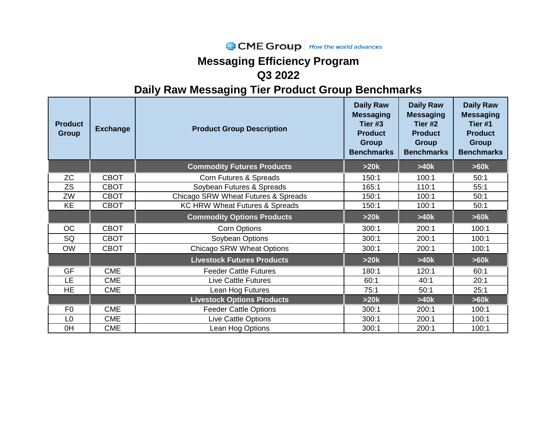### CME Group | How the world advances

## **Messaging Efficiency Program Q3 2022**

| <b>Product</b><br><b>Group</b> | <b>Exchange</b> | <b>Product Group Description</b>          | <b>Daily Raw</b><br><b>Messaging</b><br>Tier #3<br><b>Product</b><br>Group<br><b>Benchmarks</b> | <b>Daily Raw</b><br><b>Messaging</b><br>Tier #2<br><b>Product</b><br><b>Group</b><br><b>Benchmarks</b> | <b>Daily Raw</b><br><b>Messaging</b><br>Tier <sub>#1</sub><br><b>Product</b><br><b>Group</b><br><b>Benchmarks</b> |
|--------------------------------|-----------------|-------------------------------------------|-------------------------------------------------------------------------------------------------|--------------------------------------------------------------------------------------------------------|-------------------------------------------------------------------------------------------------------------------|
|                                |                 | <b>Commodity Futures Products</b>         | >20k                                                                                            | >40k                                                                                                   | >60k                                                                                                              |
| <b>ZC</b>                      | <b>CBOT</b>     | Corn Futures & Spreads                    | 150:1                                                                                           | 100:1                                                                                                  | 50:1                                                                                                              |
| <b>ZS</b>                      | <b>CBOT</b>     | Soybean Futures & Spreads                 | 165:1                                                                                           | 110:1                                                                                                  | 55:1                                                                                                              |
| ZW                             | <b>CBOT</b>     | Chicago SRW Wheat Futures & Spreads       | 150:1                                                                                           | 100:1                                                                                                  | 50:1                                                                                                              |
| <b>KE</b>                      | <b>CBOT</b>     | <b>KC HRW Wheat Futures &amp; Spreads</b> | 150:1                                                                                           | 100:1                                                                                                  | 50:1                                                                                                              |
|                                |                 | <b>Commodity Options Products</b>         | >20k                                                                                            | >40k                                                                                                   | >60k                                                                                                              |
| <b>OC</b>                      | <b>CBOT</b>     | Corn Options                              | 300:1                                                                                           | 200:1                                                                                                  | 100:1                                                                                                             |
| SQ                             | <b>CBOT</b>     | Soybean Options                           | 300:1                                                                                           | 200:1                                                                                                  | 100:1                                                                                                             |
| <b>OW</b>                      | <b>CBOT</b>     | <b>Chicago SRW Wheat Options</b>          | 300:1                                                                                           | 200:1                                                                                                  | 100:1                                                                                                             |
|                                |                 | <b>Livestock Futures Products</b>         | >20k                                                                                            | >40k                                                                                                   | >60k                                                                                                              |
| GF                             | <b>CME</b>      | <b>Feeder Cattle Futures</b>              | 180:1                                                                                           | 120:1                                                                                                  | 60:1                                                                                                              |
| LE                             | <b>CME</b>      | <b>Live Cattle Futures</b>                | 60:1                                                                                            | 40:1                                                                                                   | 20:1                                                                                                              |
| <b>HE</b>                      | <b>CME</b>      | Lean Hog Futures                          | 75:1                                                                                            | 50:1                                                                                                   | 25:1                                                                                                              |
|                                |                 | <b>Livestock Options Products</b>         | >20k                                                                                            | >40k                                                                                                   | >60k                                                                                                              |
| F <sub>0</sub>                 | <b>CME</b>      | <b>Feeder Cattle Options</b>              | 300:1                                                                                           | 200:1                                                                                                  | 100:1                                                                                                             |
| L <sub>0</sub>                 | <b>CME</b>      | Live Cattle Options                       | 300:1                                                                                           | 200:1                                                                                                  | 100:1                                                                                                             |
| 0H                             | <b>CME</b>      | Lean Hog Options                          | 300:1                                                                                           | 200:1                                                                                                  | 100:1                                                                                                             |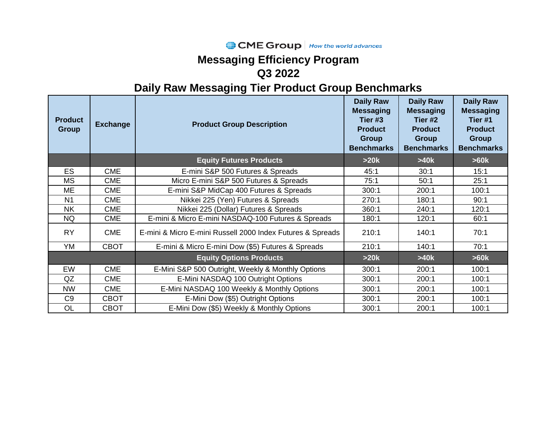#### CME Group How the world advances

## **Messaging Efficiency Program Q3 2022**

| <b>Product</b><br><b>Group</b> | <b>Exchange</b> | <b>Product Group Description</b>                           | <b>Daily Raw</b><br><b>Messaging</b><br>Tier #3<br><b>Product</b><br><b>Group</b><br><b>Benchmarks</b> | <b>Daily Raw</b><br><b>Messaging</b><br>Tier #2<br><b>Product</b><br><b>Group</b><br><b>Benchmarks</b> | <b>Daily Raw</b><br><b>Messaging</b><br>Tier #1<br><b>Product</b><br><b>Group</b><br><b>Benchmarks</b> |
|--------------------------------|-----------------|------------------------------------------------------------|--------------------------------------------------------------------------------------------------------|--------------------------------------------------------------------------------------------------------|--------------------------------------------------------------------------------------------------------|
|                                |                 | <b>Equity Futures Products</b>                             | >20k                                                                                                   | >40k                                                                                                   | >60k                                                                                                   |
| <b>ES</b>                      | <b>CME</b>      | E-mini S&P 500 Futures & Spreads                           | 45:1                                                                                                   | 30:1                                                                                                   | 15:1                                                                                                   |
| <b>MS</b>                      | <b>CME</b>      | Micro E-mini S&P 500 Futures & Spreads                     | 75:1                                                                                                   | 50:1                                                                                                   | 25:1                                                                                                   |
| ME                             | <b>CME</b>      | E-mini S&P MidCap 400 Futures & Spreads                    | 300:1                                                                                                  | 200:1                                                                                                  | 100:1                                                                                                  |
| N <sub>1</sub>                 | <b>CME</b>      | Nikkei 225 (Yen) Futures & Spreads                         | 270:1                                                                                                  | 180:1                                                                                                  | 90:1                                                                                                   |
| <b>NK</b>                      | <b>CME</b>      | Nikkei 225 (Dollar) Futures & Spreads                      | 360:1                                                                                                  | 240:1                                                                                                  | 120:1                                                                                                  |
| <b>NQ</b>                      | <b>CME</b>      | E-mini & Micro E-mini NASDAQ-100 Futures & Spreads         | 180:1                                                                                                  | 120:1                                                                                                  | 60:1                                                                                                   |
| <b>RY</b>                      | <b>CME</b>      | E-mini & Micro E-mini Russell 2000 Index Futures & Spreads | 210:1                                                                                                  | 140:1                                                                                                  | 70:1                                                                                                   |
| YM                             | <b>CBOT</b>     | E-mini & Micro E-mini Dow (\$5) Futures & Spreads          | 210:1                                                                                                  | 140:1                                                                                                  | 70:1                                                                                                   |
|                                |                 | <b>Equity Options Products</b>                             | >20k                                                                                                   | >40k                                                                                                   | >60k                                                                                                   |
| EW                             | <b>CME</b>      | E-Mini S&P 500 Outright, Weekly & Monthly Options          | 300:1                                                                                                  | 200:1                                                                                                  | 100:1                                                                                                  |
| QZ                             | <b>CME</b>      | E-Mini NASDAQ 100 Outright Options                         | 300:1                                                                                                  | 200:1                                                                                                  | 100:1                                                                                                  |
| <b>NW</b>                      | <b>CME</b>      | E-Mini NASDAQ 100 Weekly & Monthly Options                 | 300:1                                                                                                  | 200:1                                                                                                  | 100:1                                                                                                  |
| C <sub>9</sub>                 | <b>CBOT</b>     | E-Mini Dow (\$5) Outright Options                          | 300:1                                                                                                  | 200:1                                                                                                  | 100:1                                                                                                  |
| <b>OL</b>                      | <b>CBOT</b>     | E-Mini Dow (\$5) Weekly & Monthly Options                  | 300:1                                                                                                  | 200:1                                                                                                  | 100:1                                                                                                  |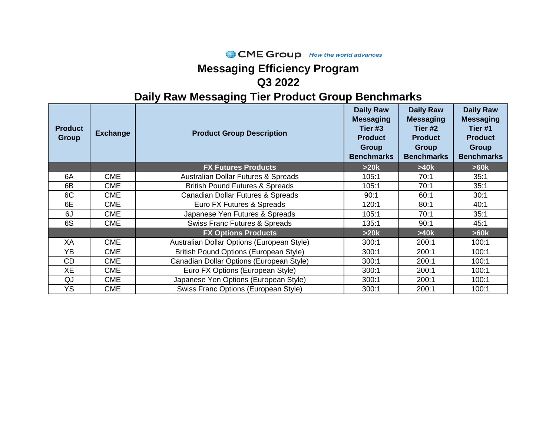### CME Group | How the world advances

# **Messaging Efficiency Program**

### **Q3 2022**

| <b>Product</b><br><b>Group</b> | <b>Exchange</b> | <b>Product Group Description</b>               | <b>Daily Raw</b><br><b>Messaging</b><br>Tier #3<br><b>Product</b><br><b>Group</b><br><b>Benchmarks</b> | <b>Daily Raw</b><br><b>Messaging</b><br>Tier #2<br><b>Product</b><br>Group<br><b>Benchmarks</b> | <b>Daily Raw</b><br><b>Messaging</b><br>Tier <sub>#1</sub><br><b>Product</b><br><b>Group</b><br><b>Benchmarks</b> |
|--------------------------------|-----------------|------------------------------------------------|--------------------------------------------------------------------------------------------------------|-------------------------------------------------------------------------------------------------|-------------------------------------------------------------------------------------------------------------------|
|                                |                 | <b>FX Futures Products</b>                     | >20k                                                                                                   | >40k                                                                                            | >60k                                                                                                              |
| 6A                             | <b>CME</b>      | <b>Australian Dollar Futures &amp; Spreads</b> | 105:1                                                                                                  | 70:1                                                                                            | 35:1                                                                                                              |
| 6B                             | <b>CME</b>      | <b>British Pound Futures &amp; Spreads</b>     | 105:1                                                                                                  | 70:1                                                                                            | 35:1                                                                                                              |
| 6C                             | <b>CME</b>      | Canadian Dollar Futures & Spreads              | 90:1                                                                                                   | 60:1                                                                                            | 30:1                                                                                                              |
| 6E                             | <b>CME</b>      | Euro FX Futures & Spreads                      | 120:1                                                                                                  | 80:1                                                                                            | 40:1                                                                                                              |
| 6J                             | <b>CME</b>      | Japanese Yen Futures & Spreads                 | 105:1                                                                                                  | 70:1                                                                                            | 35:1                                                                                                              |
| 6S                             | <b>CME</b>      | <b>Swiss Franc Futures &amp; Spreads</b>       | 135:1                                                                                                  | 90:1                                                                                            | 45:1                                                                                                              |
|                                |                 | <b>FX Options Products</b>                     | >20k                                                                                                   | >40k                                                                                            | >60k                                                                                                              |
| XA                             | <b>CME</b>      | Australian Dollar Options (European Style)     | 300:1                                                                                                  | 200:1                                                                                           | 100:1                                                                                                             |
| <b>YB</b>                      | <b>CME</b>      | British Pound Options (European Style)         | 300:1                                                                                                  | 200:1                                                                                           | 100:1                                                                                                             |
| <b>CD</b>                      | <b>CME</b>      | Canadian Dollar Options (European Style)       | 300:1                                                                                                  | 200:1                                                                                           | 100:1                                                                                                             |
| <b>XE</b>                      | <b>CME</b>      | Euro FX Options (European Style)               | 300:1                                                                                                  | 200:1                                                                                           | 100:1                                                                                                             |
| QJ                             | <b>CME</b>      | Japanese Yen Options (European Style)          | 300:1                                                                                                  | 200:1                                                                                           | 100:1                                                                                                             |
| <b>YS</b>                      | <b>CME</b>      | Swiss Franc Options (European Style)           | 300:1                                                                                                  | 200:1                                                                                           | 100:1                                                                                                             |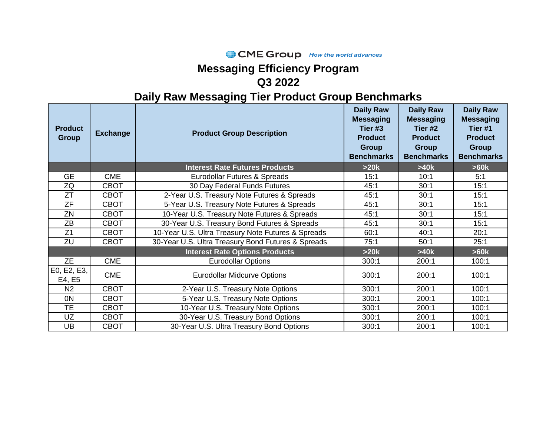#### CME Group | How the world advances

# **Messaging Efficiency Program**

### **Q3 2022**

| <b>Product</b><br><b>Group</b> | <b>Exchange</b> | <b>Product Group Description</b>                   | <b>Daily Raw</b><br><b>Messaging</b><br>Tier #3<br><b>Product</b><br><b>Group</b><br><b>Benchmarks</b> | <b>Daily Raw</b><br><b>Messaging</b><br>Tier #2<br><b>Product</b><br><b>Group</b><br><b>Benchmarks</b> | <b>Daily Raw</b><br><b>Messaging</b><br>Tier #1<br><b>Product</b><br><b>Group</b><br><b>Benchmarks</b> |
|--------------------------------|-----------------|----------------------------------------------------|--------------------------------------------------------------------------------------------------------|--------------------------------------------------------------------------------------------------------|--------------------------------------------------------------------------------------------------------|
|                                |                 | <b>Interest Rate Futures Products</b>              | >20k                                                                                                   | >40k                                                                                                   | >60k                                                                                                   |
| <b>GE</b>                      | <b>CME</b>      | Eurodollar Futures & Spreads                       | 15:1                                                                                                   | 10:1                                                                                                   | 5:1                                                                                                    |
| ZQ                             | <b>CBOT</b>     | 30 Day Federal Funds Futures                       | 45:1                                                                                                   | 30:1                                                                                                   | 15:1                                                                                                   |
| $\overline{Z}$ T               | <b>CBOT</b>     | 2-Year U.S. Treasury Note Futures & Spreads        | 45:1                                                                                                   | 30:1                                                                                                   | 15:1                                                                                                   |
| <b>ZF</b>                      | <b>CBOT</b>     | 5-Year U.S. Treasury Note Futures & Spreads        | 45:1                                                                                                   | 30:1                                                                                                   | 15:1                                                                                                   |
| ZN                             | <b>CBOT</b>     | 10-Year U.S. Treasury Note Futures & Spreads       | 45:1                                                                                                   | 30:1                                                                                                   | 15:1                                                                                                   |
| ZB                             | <b>CBOT</b>     | 30-Year U.S. Treasury Bond Futures & Spreads       | 45:1                                                                                                   | 30:1                                                                                                   | 15:1                                                                                                   |
| Z <sub>1</sub>                 | <b>CBOT</b>     | 10-Year U.S. Ultra Treasury Note Futures & Spreads | 60:1                                                                                                   | 40:1                                                                                                   | 20:1                                                                                                   |
| ZU                             | <b>CBOT</b>     | 30-Year U.S. Ultra Treasury Bond Futures & Spreads | 75:1                                                                                                   | 50:1                                                                                                   | 25:1                                                                                                   |
|                                |                 | <b>Interest Rate Options Products</b>              | >20k                                                                                                   | >40k                                                                                                   | >60k                                                                                                   |
| <b>ZE</b>                      | <b>CME</b>      | <b>Eurodollar Options</b>                          | 300:1                                                                                                  | 200:1                                                                                                  | 100:1                                                                                                  |
| E0, E2, E3,<br>E4, E5          | <b>CME</b>      | <b>Eurodollar Midcurve Options</b>                 | 300:1                                                                                                  | 200:1                                                                                                  | 100:1                                                                                                  |
| N <sub>2</sub>                 | <b>CBOT</b>     | 2-Year U.S. Treasury Note Options                  | 300:1                                                                                                  | 200:1                                                                                                  | 100:1                                                                                                  |
| 0N                             | <b>CBOT</b>     | 5-Year U.S. Treasury Note Options                  | 300:1                                                                                                  | 200:1                                                                                                  | 100:1                                                                                                  |
| <b>TE</b>                      | <b>CBOT</b>     | 10-Year U.S. Treasury Note Options                 | 300:1                                                                                                  | 200:1                                                                                                  | 100:1                                                                                                  |
| UZ                             | <b>CBOT</b>     | 30-Year U.S. Treasury Bond Options                 | 300:1                                                                                                  | 200:1                                                                                                  | 100:1                                                                                                  |
| UB                             | <b>CBOT</b>     | 30-Year U.S. Ultra Treasury Bond Options           | 300:1                                                                                                  | 200:1                                                                                                  | 100:1                                                                                                  |